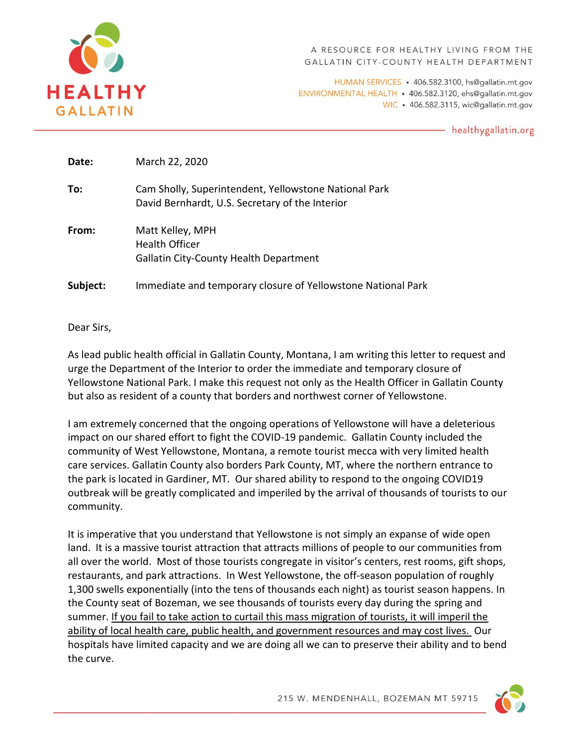

A RESOURCE FOR HEALTHY LIVING FROM THE GALLATIN CITY-COUNTY HEALTH DEPARTMENT

HUMAN SERVICES · 406.582.3100, hs@gallatin.mt.gov ENVIRONMENTAL HEALTH • 406.582.3120, ehs@gallatin.mt.gov WIC · 406.582.3115, wic@gallatin.mt.gov

- healthygallatin.org

| Date:    | March 22, 2020                                                                                           |
|----------|----------------------------------------------------------------------------------------------------------|
| To:      | Cam Sholly, Superintendent, Yellowstone National Park<br>David Bernhardt, U.S. Secretary of the Interior |
| From:    | Matt Kelley, MPH<br><b>Health Officer</b><br><b>Gallatin City-County Health Department</b>               |
| Subject: | Immediate and temporary closure of Yellowstone National Park                                             |

Dear Sirs,

As lead public health official in Gallatin County, Montana, I am writing this letter to request and urge the Department of the Interior to order the immediate and temporary closure of Yellowstone National Park. I make this request not only as the Health Officer in Gallatin County but also as resident of a county that borders and northwest corner of Yellowstone.

I am extremely concerned that the ongoing operations of Yellowstone will have a deleterious impact on our shared effort to fight the COVID-19 pandemic. Gallatin County included the community of West Yellowstone, Montana, a remote tourist mecca with very limited health care services. Gallatin County also borders Park County, MT, where the northern entrance to the park is located in Gardiner, MT. Our shared ability to respond to the ongoing COVID19 outbreak will be greatly complicated and imperiled by the arrival of thousands of tourists to our community.

It is imperative that you understand that Yellowstone is not simply an expanse of wide open land. It is a massive tourist attraction that attracts millions of people to our communities from all over the world. Most of those tourists congregate in visitor's centers, rest rooms, gift shops, restaurants, and park attractions. In West Yellowstone, the off-season population of roughly 1,300 swells exponentially (into the tens of thousands each night) as tourist season happens. In the County seat of Bozeman, we see thousands of tourists every day during the spring and summer. If you fail to take action to curtail this mass migration of tourists, it will imperil the ability of local health care, public health, and government resources and may cost lives. Our hospitals have limited capacity and we are doing all we can to preserve their ability and to bend the curve.